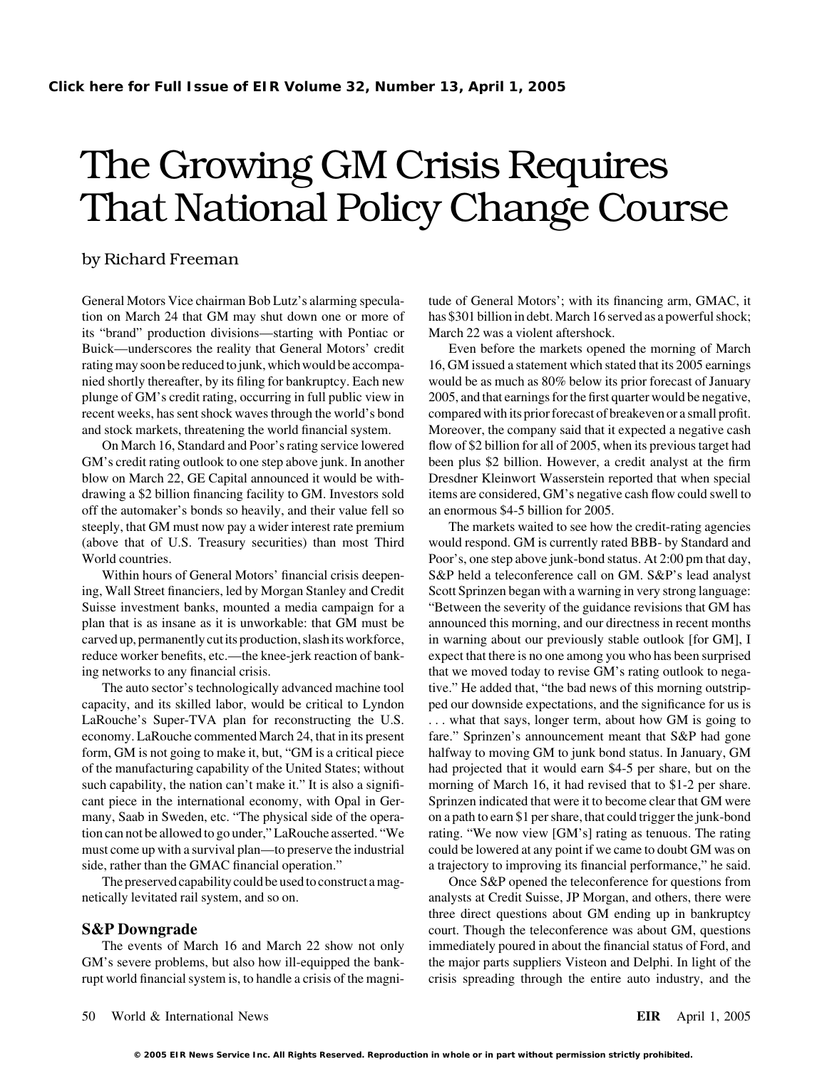# The Growing GM Crisis Requires That National Policy Change Course

## by Richard Freeman

General Motors Vice chairman Bob Lutz's alarming specula- tude of General Motors'; with its financing arm, GMAC, it its "brand" production divisions—starting with Pontiac or March 22 was a violent aftershock. Buick—underscores the reality that General Motors' credit Even before the markets opened the morning of March

off the automaker's bonds so heavily, and their value fell so an enormous \$4-5 billion for 2005. steeply, that GM must now pay a wider interest rate premium The markets waited to see how the credit-rating agencies

ing, Wall Street financiers, led by Morgan Stanley and Credit Scott Sprinzen began with a warning in very strong language: Suisse investment banks, mounted a media campaign for a "Between the severity of the guidance revisions that GM has plan that is as insane as it is unworkable: that GM must be announced this morning, and our directness in recent months carved up, permanently cutits production, slash its workforce, in warning about our previously stable outlook [for GM], I reduce worker benefits, etc.—the knee-jerk reaction of bank- expect that there is no one among you who has been surprised ing networks to any financial crisis. that we moved today to revise GM's rating outlook to nega-

capacity, and its skilled labor, would be critical to Lyndon ped our downside expectations, and the significance for us is LaRouche's Super-TVA plan for reconstructing the U.S. . . . . what that says, longer term, about how GM is going to economy. LaRouche commented March 24, that in its present fare." Sprinzen's announcement meant that S&P had gone form, GM is not going to make it, but, "GM is a critical piece halfway to moving GM to junk bond status. In January, GM of the manufacturing capability of the United States; without had projected that it would earn \$4-5 per share, but on the such capability, the nation can't make it." It is also a signifi- morning of March 16, it had revised that to \$1-2 per share. cant piece in the international economy, with Opal in Ger- Sprinzen indicated that were it to become clear that GM were many, Saab in Sweden, etc. "The physical side of the opera- on a path to earn \$1 per share, that could trigger the junk-bond tion can not be allowed to go under," LaRouche asserted. "We rating. "We now view [GM's] rating as tenuous. The rating must come up with a survival plan—to preserve the industrial could be lowered at any point if we came to doubt GM was on side, rather than the GMAC financial operation." a trajectory to improving its financial performance," he said.

tion on March 24 that GM may shut down one or more of has \$301 billion in debt. March 16 served as a powerful shock;

rating may soon be reduced to junk, which would be accompa- 16, GM issued a statement which stated that its 2005 earnings nied shortly thereafter, by its filing for bankruptcy. Each new would be as much as 80% below its prior forecast of January plunge of GM's credit rating, occurring in full public view in 2005, and that earnings for the first quarter would be negative, recent weeks, has sent shock waves through the world's bond compared with its prior forecast of breakeven or a small profit. and stock markets, threatening the world financial system. Moreover, the company said that it expected a negative cash On March 16, Standard and Poor's rating service lowered flow of \$2 billion for all of 2005, when its previous target had GM's credit rating outlook to one step above junk. In another been plus \$2 billion. However, a credit analyst at the firm blow on March 22, GE Capital announced it would be with- Dresdner Kleinwort Wasserstein reported that when special drawing a \$2 billion financing facility to GM. Investors sold items are considered, GM's negative cash flow could swell to

(above that of U.S. Treasury securities) than most Third would respond. GM is currently rated BBB- by Standard and World countries. **Poor's, one step above junk-bond status.** At 2:00 pm that day, Within hours of General Motors' financial crisis deepen-<br>S&P held a teleconference call on GM. S&P's lead analyst The auto sector's technologically advanced machine tool tive." He added that, "the bad news of this morning outstrip-

The preserved capability could be used to construct a mag- Once S&P opened the teleconference for questions from netically levitated rail system, and so on. analysts at Credit Suisse, JP Morgan, and others, there were three direct questions about GM ending up in bankruptcy **S&P Downgrade** court. Though the teleconference was about GM, questions The events of March 16 and March 22 show not only immediately poured in about the financial status of Ford, and GM's severe problems, but also how ill-equipped the bank-<br>the major parts suppliers Visteon and Delphi. In light of the rupt world financial system is, to handle a crisis of the magni- crisis spreading through the entire auto industry, and the